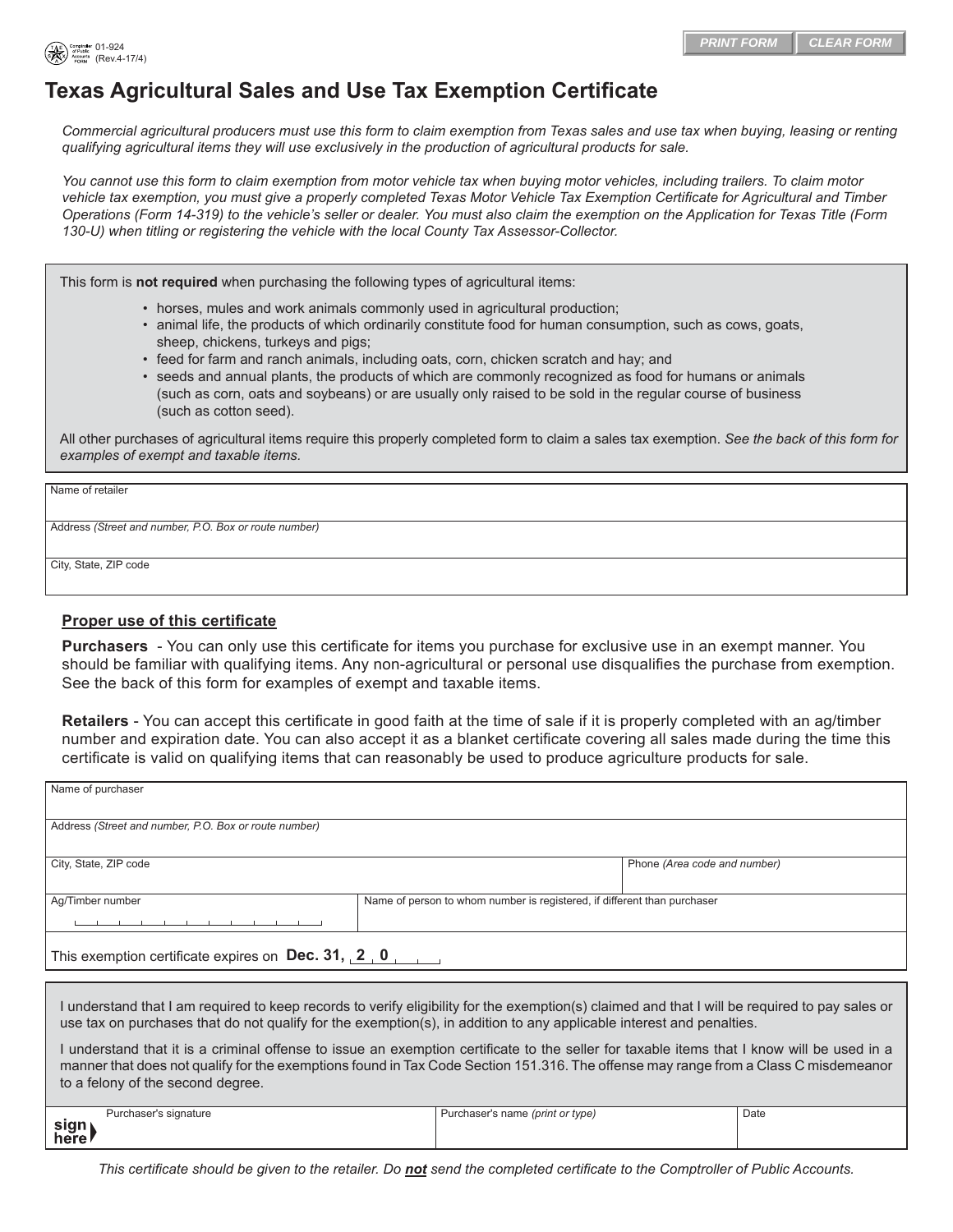

# **Texas Agricultural Sales and Use Tax Exemption Certificate**

*Commercial agricultural producers must use this form to claim exemption from Texas sales and use tax when buying, leasing or renting qualifying agricultural items they will use exclusively in the production of agricultural products for sale.* 

*You cannot use this form to claim exemption from motor vehicle tax when buying motor vehicles, including trailers. To claim motor vehicle tax exemption, you must give a properly completed Texas Motor Vehicle Tax Exemption Certificate for Agricultural and Timber Operations (Form 14-319) to the vehicle's seller or dealer. You must also claim the exemption on the Application for Texas Title (Form 130-U) when titling or registering the vehicle with the local County Tax Assessor-Collector.*

This form is **not required** when purchasing the following types of agricultural items:

- horses, mules and work animals commonly used in agricultural production;
- animal life, the products of which ordinarily constitute food for human consumption, such as cows, goats, sheep, chickens, turkeys and pigs;
- feed for farm and ranch animals, including oats, corn, chicken scratch and hay; and
- seeds and annual plants, the products of which are commonly recognized as food for humans or animals (such as corn, oats and soybeans) or are usually only raised to be sold in the regular course of business (such as cotton seed).

All other purchases of agricultural items require this properly completed form to claim a sales tax exemption. *See the back of this form for examples of exempt and taxable items.*

Name of retailer

Address *(Street and number, P.O. Box or route number)*

City, State, ZIP code

#### **Proper use of this certificate**

**Purchasers** - You can only use this certificate for items you purchase for exclusive use in an exempt manner. You should be familiar with qualifying items. Any non-agricultural or personal use disqualifies the purchase from exemption. See the back of this form for examples of exempt and taxable items.

**Retailers** - You can accept this certificate in good faith at the time of sale if it is properly completed with an ag/timber number and expiration date. You can also accept it as a blanket certificate covering all sales made during the time this certificate is valid on qualifying items that can reasonably be used to produce agriculture products for sale.

| Name of purchaser                                          |                                                                          |                              |  |  |
|------------------------------------------------------------|--------------------------------------------------------------------------|------------------------------|--|--|
| Address (Street and number, P.O. Box or route number)      |                                                                          |                              |  |  |
| City, State, ZIP code                                      |                                                                          | Phone (Area code and number) |  |  |
| Ag/Timber number                                           | Name of person to whom number is registered, if different than purchaser |                              |  |  |
| This exemption certificate expires on Dec. 31, $2 \cdot 0$ |                                                                          |                              |  |  |
|                                                            |                                                                          |                              |  |  |

I understand that I am required to keep records to verify eligibility for the exemption(s) claimed and that I will be required to pay sales or use tax on purchases that do not qualify for the exemption(s), in addition to any applicable interest and penalties.

I understand that it is a criminal offense to issue an exemption certificate to the seller for taxable items that I know will be used in a manner that does not qualify for the exemptions found in Tax Code Section 151.316. The offense may range from a Class C misdemeanor to a felony of the second degree.

|              | Purchaser's signature | Purchaser's name (print or type) | Date |
|--------------|-----------------------|----------------------------------|------|
| sign<br>here |                       |                                  |      |

*This certificate should be given to the retailer. Do not send the completed certificate to the Comptroller of Public Accounts.*